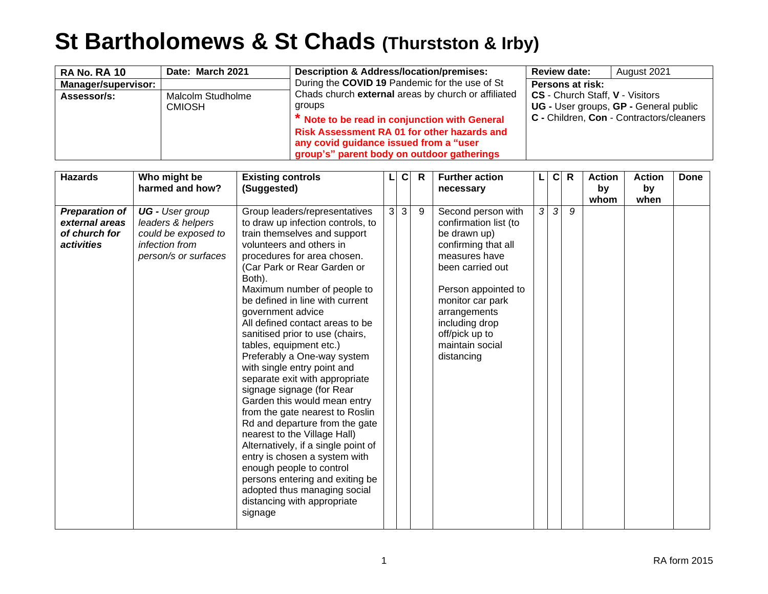## **St Bartholomews & St Chads (Thurstston & Irby)**

| <b>RA No. RA 10</b> | Date: March 2021                   | <b>Description &amp; Address/location/premises:</b>                                                                                                                                                                                                          | <b>Review date:</b>             | August 2021                                                                       |
|---------------------|------------------------------------|--------------------------------------------------------------------------------------------------------------------------------------------------------------------------------------------------------------------------------------------------------------|---------------------------------|-----------------------------------------------------------------------------------|
| Manager/supervisor: |                                    | During the COVID 19 Pandemic for the use of St                                                                                                                                                                                                               | Persons at risk:                |                                                                                   |
| Assessor/s:         | Malcolm Studholme<br><b>CMIOSH</b> | Chads church external areas by church or affiliated<br>groups<br>* Note to be read in conjunction with General<br><b>Risk Assessment RA 01 for other hazards and</b><br>any covid guidance issued from a "user<br>group's" parent body on outdoor gatherings | CS - Church Staff, V - Visitors | UG - User groups, GP - General public<br>C - Children, Con - Contractors/cleaners |

| <b>Hazards</b>                                                         | Who might be<br>harmed and how?                                                                       | <b>Existing controls</b><br>(Suggested)                                                                                                                                                                                                                                                                                                                                                                                                                                                                                                                                                                                                                                                                                                                                                                                                                                           |                | $\mathbf C$ | $\mathbf R$ | <b>Further action</b><br>necessary                                                                                                                                                                                                                      |               | $\mathbf{C}$  | $\mathsf{R}$ | <b>Action</b><br>by<br>whom | <b>Action</b><br>by<br>when | Done |
|------------------------------------------------------------------------|-------------------------------------------------------------------------------------------------------|-----------------------------------------------------------------------------------------------------------------------------------------------------------------------------------------------------------------------------------------------------------------------------------------------------------------------------------------------------------------------------------------------------------------------------------------------------------------------------------------------------------------------------------------------------------------------------------------------------------------------------------------------------------------------------------------------------------------------------------------------------------------------------------------------------------------------------------------------------------------------------------|----------------|-------------|-------------|---------------------------------------------------------------------------------------------------------------------------------------------------------------------------------------------------------------------------------------------------------|---------------|---------------|--------------|-----------------------------|-----------------------------|------|
| Preparation of<br>external areas<br>of church for<br><i>activities</i> | UG - User group<br>leaders & helpers<br>could be exposed to<br>infection from<br>person/s or surfaces | Group leaders/representatives<br>to draw up infection controls, to<br>train themselves and support<br>volunteers and others in<br>procedures for area chosen.<br>(Car Park or Rear Garden or<br>Both).<br>Maximum number of people to<br>be defined in line with current<br>government advice<br>All defined contact areas to be<br>sanitised prior to use (chairs,<br>tables, equipment etc.)<br>Preferably a One-way system<br>with single entry point and<br>separate exit with appropriate<br>signage signage (for Rear<br>Garden this would mean entry<br>from the gate nearest to Roslin<br>Rd and departure from the gate<br>nearest to the Village Hall)<br>Alternatively, if a single point of<br>entry is chosen a system with<br>enough people to control<br>persons entering and exiting be<br>adopted thus managing social<br>distancing with appropriate<br>signage | $\overline{3}$ | 3           | 9           | Second person with<br>confirmation list (to<br>be drawn up)<br>confirming that all<br>measures have<br>been carried out<br>Person appointed to<br>monitor car park<br>arrangements<br>including drop<br>off/pick up to<br>maintain social<br>distancing | $\mathcal{S}$ | $\mathcal{S}$ | 9            |                             |                             |      |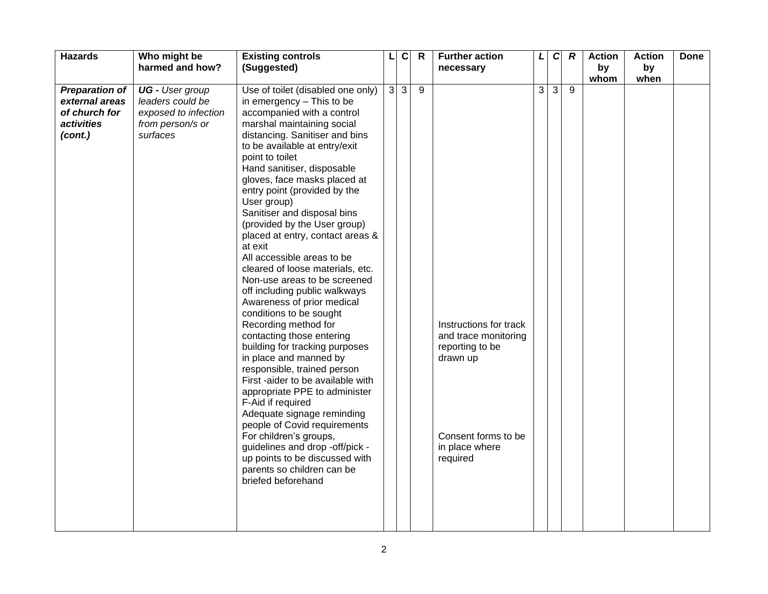| <b>Hazards</b>                                                                    | Who might be                                                                                       | <b>Existing controls</b>                                                                                                                                                                                                                                                                                                                                                                                                                                                                                                                                                                                                                                        |                | $\overline{c}$ | $\mathsf{R}$ | <b>Further action</b>                                                                                                              | L | $\mathbf c$ | $\boldsymbol{R}$ | <b>Action</b> | <b>Action</b> | <b>Done</b> |
|-----------------------------------------------------------------------------------|----------------------------------------------------------------------------------------------------|-----------------------------------------------------------------------------------------------------------------------------------------------------------------------------------------------------------------------------------------------------------------------------------------------------------------------------------------------------------------------------------------------------------------------------------------------------------------------------------------------------------------------------------------------------------------------------------------------------------------------------------------------------------------|----------------|----------------|--------------|------------------------------------------------------------------------------------------------------------------------------------|---|-------------|------------------|---------------|---------------|-------------|
|                                                                                   | harmed and how?                                                                                    | (Suggested)                                                                                                                                                                                                                                                                                                                                                                                                                                                                                                                                                                                                                                                     |                |                |              | necessary                                                                                                                          |   |             |                  | by            | by            |             |
|                                                                                   |                                                                                                    |                                                                                                                                                                                                                                                                                                                                                                                                                                                                                                                                                                                                                                                                 |                |                |              |                                                                                                                                    |   |             |                  | whom          |               |             |
| <b>Preparation of</b><br>external areas<br>of church for<br>activities<br>(cont.) | <b>UG</b> - User group<br>leaders could be<br>exposed to infection<br>from person/s or<br>surfaces | Use of toilet (disabled one only)<br>in emergency - This to be<br>accompanied with a control<br>marshal maintaining social<br>distancing. Sanitiser and bins<br>to be available at entry/exit<br>point to toilet<br>Hand sanitiser, disposable<br>gloves, face masks placed at<br>entry point (provided by the<br>User group)<br>Sanitiser and disposal bins<br>(provided by the User group)<br>placed at entry, contact areas &                                                                                                                                                                                                                                | $\overline{3}$ | $\overline{3}$ | 9            |                                                                                                                                    | 3 | $\sqrt{3}$  | 9                |               | when          |             |
|                                                                                   |                                                                                                    | at exit<br>All accessible areas to be<br>cleared of loose materials, etc.<br>Non-use areas to be screened<br>off including public walkways<br>Awareness of prior medical<br>conditions to be sought<br>Recording method for<br>contacting those entering<br>building for tracking purposes<br>in place and manned by<br>responsible, trained person<br>First -aider to be available with<br>appropriate PPE to administer<br>F-Aid if required<br>Adequate signage reminding<br>people of Covid requirements<br>For children's groups,<br>guidelines and drop -off/pick -<br>up points to be discussed with<br>parents so children can be<br>briefed beforehand |                |                |              | Instructions for track<br>and trace monitoring<br>reporting to be<br>drawn up<br>Consent forms to be<br>in place where<br>required |   |             |                  |               |               |             |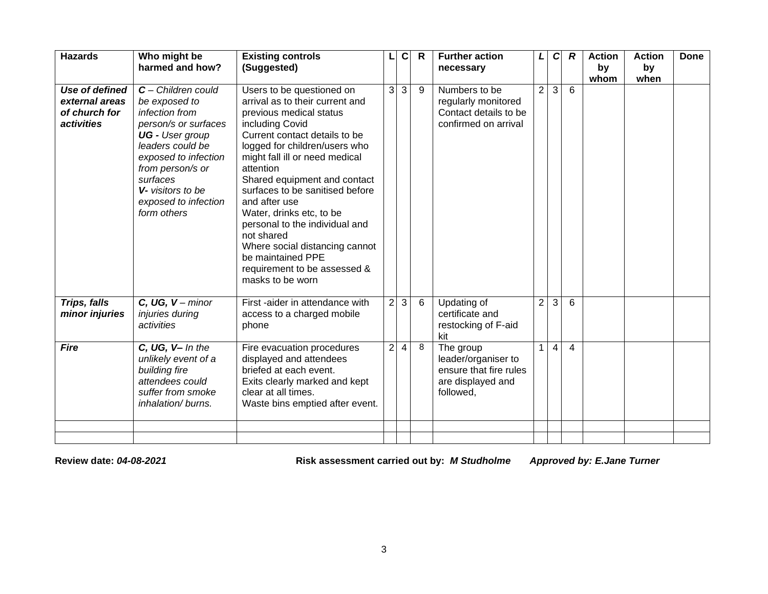| <b>Hazards</b>                                                         | Who might be<br>harmed and how?                                                                                                                                                                                                                   | <b>Existing controls</b><br>(Suggested)                                                                                                                                                                                                                                                                                                                                                                                                                                                                |                | $\mathbf c$ | $\mathsf{R}$ | <b>Further action</b><br>necessary                                                           | L              | $\mathbf{C}$   | $\boldsymbol{R}$ | <b>Action</b><br>by<br>whom | <b>Action</b><br>by<br>when | <b>Done</b> |
|------------------------------------------------------------------------|---------------------------------------------------------------------------------------------------------------------------------------------------------------------------------------------------------------------------------------------------|--------------------------------------------------------------------------------------------------------------------------------------------------------------------------------------------------------------------------------------------------------------------------------------------------------------------------------------------------------------------------------------------------------------------------------------------------------------------------------------------------------|----------------|-------------|--------------|----------------------------------------------------------------------------------------------|----------------|----------------|------------------|-----------------------------|-----------------------------|-------------|
| Use of defined<br>external areas<br>of church for<br><i>activities</i> | $C$ – Children could<br>be exposed to<br>infection from<br>person/s or surfaces<br><b>UG</b> - User group<br>leaders could be<br>exposed to infection<br>from person/s or<br>surfaces<br>V- visitors to be<br>exposed to infection<br>form others | Users to be questioned on<br>arrival as to their current and<br>previous medical status<br>including Covid<br>Current contact details to be<br>logged for children/users who<br>might fall ill or need medical<br>attention<br>Shared equipment and contact<br>surfaces to be sanitised before<br>and after use<br>Water, drinks etc, to be<br>personal to the individual and<br>not shared<br>Where social distancing cannot<br>be maintained PPE<br>requirement to be assessed &<br>masks to be worn | 3              | 3           | 9            | Numbers to be<br>regularly monitored<br>Contact details to be<br>confirmed on arrival        | $\overline{2}$ | سا             | 6                |                             |                             |             |
| Trips, falls<br>minor injuries                                         | $C, UG, V - minor$<br>injuries during<br>activities                                                                                                                                                                                               | First -aider in attendance with<br>access to a charged mobile<br>phone                                                                                                                                                                                                                                                                                                                                                                                                                                 | $\overline{2}$ | 3           | 6            | Updating of<br>certificate and<br>restocking of F-aid<br>kit                                 | $\overline{2}$ | 3              | 6                |                             |                             |             |
| <b>Fire</b>                                                            | C, UG, V- In the<br>unlikely event of a<br>building fire<br>attendees could<br>suffer from smoke<br>inhalation/ burns.                                                                                                                            | Fire evacuation procedures<br>displayed and attendees<br>briefed at each event.<br>Exits clearly marked and kept<br>clear at all times.<br>Waste bins emptied after event.                                                                                                                                                                                                                                                                                                                             | $\overline{2}$ | 4           | 8            | The group<br>leader/organiser to<br>ensure that fire rules<br>are displayed and<br>followed, | $\mathbf{1}$   | $\overline{4}$ | $\overline{4}$   |                             |                             |             |
|                                                                        |                                                                                                                                                                                                                                                   |                                                                                                                                                                                                                                                                                                                                                                                                                                                                                                        |                |             |              |                                                                                              |                |                |                  |                             |                             |             |

**Review date:** *04-08-2021* **Risk assessment carried out by:** *M Studholme Approved by: E.Jane Turner*